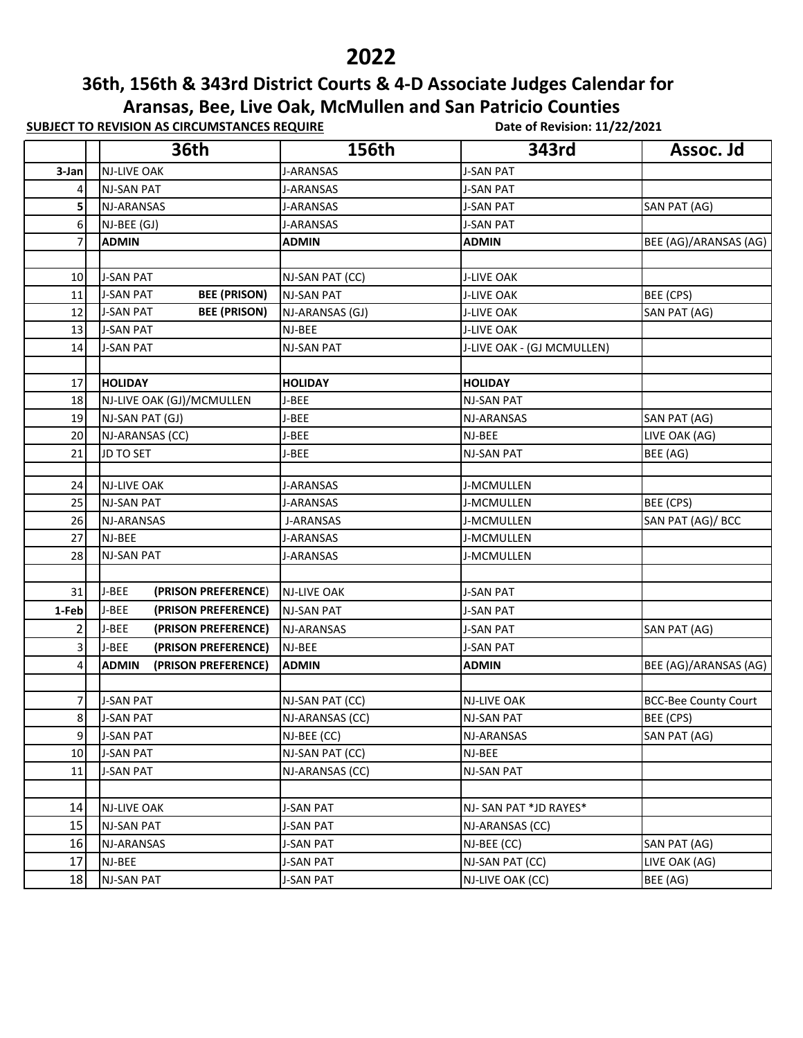## 

## **36th, 156th & 343rd District Courts & 4-D Associate Judges Calendar for Aransas, Bee, Live Oak, McMullen and San Patricio Counties**

**SUBJECT TO REVISION AS CIRCUMSTANCES REQUIRE** Date of Revision: 11/22/2021

|        | <b>36th</b>                             | 156th              | 343rd                      | Assoc. Jd                   |
|--------|-----------------------------------------|--------------------|----------------------------|-----------------------------|
| 3-Jan  | <b>NJ-LIVE OAK</b>                      | J-ARANSAS          | <b>J-SAN PAT</b>           |                             |
| 4      | NJ-SAN PAT                              | <b>J-ARANSAS</b>   | <b>J-SAN PAT</b>           |                             |
| 5      | NJ-ARANSAS                              | <b>J-ARANSAS</b>   | <b>J-SAN PAT</b>           | SAN PAT (AG)                |
| 6      | NJ-BEE (GJ)                             | J-ARANSAS          | <b>J-SAN PAT</b>           |                             |
| 7      | <b>ADMIN</b>                            | <b>ADMIN</b>       | <b>ADMIN</b>               | BEE (AG)/ARANSAS (AG)       |
|        |                                         |                    |                            |                             |
| 10     | <b>J-SAN PAT</b>                        | NJ-SAN PAT (CC)    | <b>J-LIVE OAK</b>          |                             |
| 11     | <b>BEE (PRISON)</b><br><b>J-SAN PAT</b> | <b>NJ-SAN PAT</b>  | <b>J-LIVE OAK</b>          | BEE (CPS)                   |
| 12     | <b>BEE (PRISON)</b><br><b>J-SAN PAT</b> | NJ-ARANSAS (GJ)    | <b>J-LIVE OAK</b>          | SAN PAT (AG)                |
| 13     | <b>J-SAN PAT</b>                        | NJ-BEE             | <b>J-LIVE OAK</b>          |                             |
| 14     | <b>J-SAN PAT</b>                        | NJ-SAN PAT         | J-LIVE OAK - (GJ MCMULLEN) |                             |
|        |                                         |                    |                            |                             |
| 17     | <b>HOLIDAY</b>                          | <b>HOLIDAY</b>     | <b>HOLIDAY</b>             |                             |
| 18     | NJ-LIVE OAK (GJ)/MCMULLEN               | J-BEE              | <b>NJ-SAN PAT</b>          |                             |
| 19     | NJ-SAN PAT (GJ)                         | J-BEE              | NJ-ARANSAS                 | SAN PAT (AG)                |
| 20     | NJ-ARANSAS (CC)                         | J-BEE              | NJ-BEE                     | LIVE OAK (AG)               |
| 21     | <b>JD TO SET</b>                        | J-BEE              | <b>NJ-SAN PAT</b>          | BEE (AG)                    |
|        |                                         |                    |                            |                             |
| 24     | <b>NJ-LIVE OAK</b>                      | J-ARANSAS          | J-MCMULLEN                 |                             |
| 25     | <b>NJ-SAN PAT</b>                       | J-ARANSAS          | J-MCMULLEN                 | BEE (CPS)                   |
| 26     | NJ-ARANSAS                              | <b>J-ARANSAS</b>   | J-MCMULLEN                 | SAN PAT (AG)/ BCC           |
| 27     | NJ-BEE                                  | J-ARANSAS          | J-MCMULLEN                 |                             |
| 28     | <b>NJ-SAN PAT</b>                       | <b>J-ARANSAS</b>   | J-MCMULLEN                 |                             |
|        |                                         |                    |                            |                             |
| 31     | J-BEE<br>(PRISON PREFERENCE)            | <b>NJ-LIVE OAK</b> | <b>J-SAN PAT</b>           |                             |
| 1-Feb  | J-BEE<br>(PRISON PREFERENCE)            | <b>NJ-SAN PAT</b>  | J-SAN PAT                  |                             |
| 2      | J-BEE<br>(PRISON PREFERENCE)            | NJ-ARANSAS         | <b>J-SAN PAT</b>           | SAN PAT (AG)                |
| 3      | J-BEE<br>(PRISON PREFERENCE)            | NJ-BEE             | <b>J-SAN PAT</b>           |                             |
| 4      | <b>ADMIN</b><br>(PRISON PREFERENCE)     | <b>ADMIN</b>       | <b>ADMIN</b>               | BEE (AG)/ARANSAS (AG)       |
|        |                                         |                    |                            |                             |
| 7      | <b>J-SAN PAT</b>                        | NJ-SAN PAT (CC)    | <b>NJ-LIVE OAK</b>         | <b>BCC-Bee County Court</b> |
| 8      | <b>J-SAN PAT</b>                        | NJ-ARANSAS (CC)    | <b>NJ-SAN PAT</b>          | BEE (CPS)                   |
| 9      | <b>J-SAN PAT</b>                        | NJ-BEE (CC)        | NJ-ARANSAS                 | SAN PAT (AG)                |
| 10     | <b>J-SAN PAT</b>                        | NJ-SAN PAT (CC)    | NJ-BEE                     |                             |
| $11\,$ | <b>J-SAN PAT</b>                        | NJ-ARANSAS (CC)    | <b>NJ-SAN PAT</b>          |                             |
|        |                                         |                    |                            |                             |
| 14     | NJ-LIVE OAK                             | <b>J-SAN PAT</b>   | NJ-SAN PAT *JD RAYES*      |                             |
| 15     | NJ-SAN PAT                              | <b>J-SAN PAT</b>   | NJ-ARANSAS (CC)            |                             |
| 16     | NJ-ARANSAS                              | <b>J-SAN PAT</b>   | NJ-BEE (CC)                | SAN PAT (AG)                |
| 17     | NJ-BEE                                  | <b>J-SAN PAT</b>   | NJ-SAN PAT (CC)            | LIVE OAK (AG)               |
| 18     | NJ-SAN PAT                              | <b>J-SAN PAT</b>   | NJ-LIVE OAK (CC)           | BEE (AG)                    |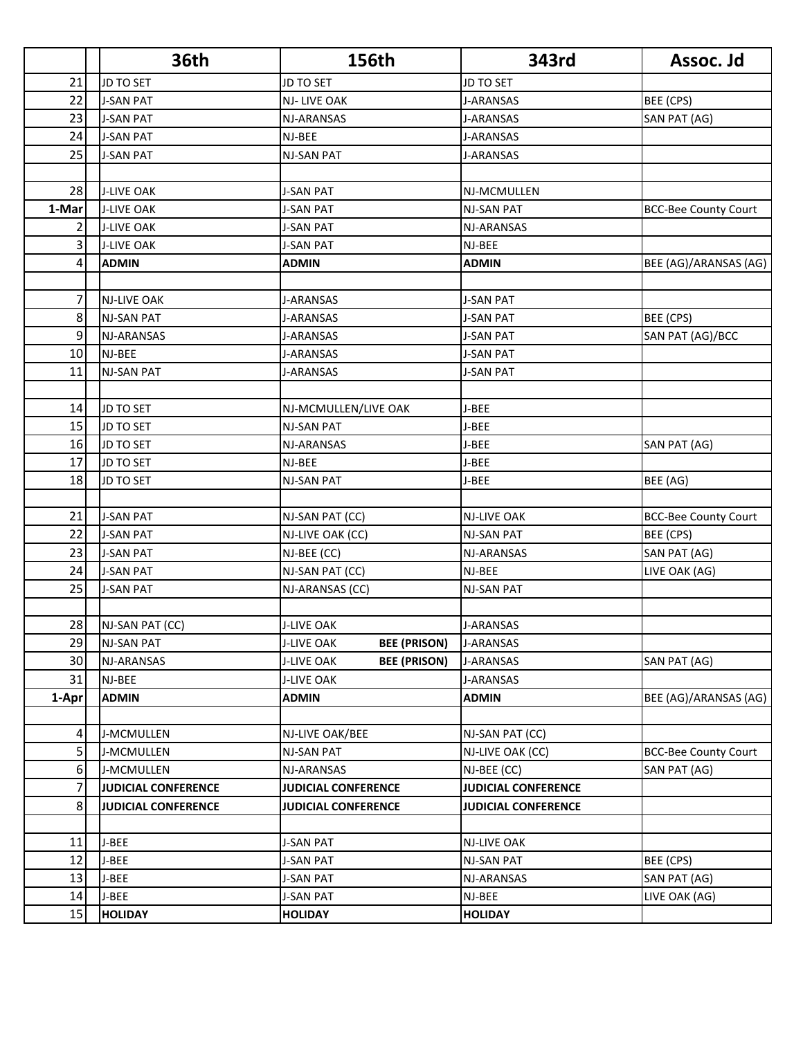|                | <b>36th</b>                | 156th                                    | 343rd                      | Assoc. Jd                   |
|----------------|----------------------------|------------------------------------------|----------------------------|-----------------------------|
| 21             | JD TO SET                  | JD TO SET                                | <b>JD TO SET</b>           |                             |
| 22             | <b>J-SAN PAT</b>           | NJ-LIVE OAK                              | <b>J-ARANSAS</b>           | BEE (CPS)                   |
| 23             | <b>J-SAN PAT</b>           | NJ-ARANSAS                               | J-ARANSAS                  | SAN PAT (AG)                |
| 24             | <b>J-SAN PAT</b>           | NJ-BEE                                   | J-ARANSAS                  |                             |
| 25             | <b>J-SAN PAT</b>           | NJ-SAN PAT                               | <b>J-ARANSAS</b>           |                             |
|                |                            |                                          |                            |                             |
| 28             | <b>J-LIVE OAK</b>          | <b>J-SAN PAT</b>                         | NJ-MCMULLEN                |                             |
| 1-Mar          | <b>J-LIVE OAK</b>          | <b>J-SAN PAT</b>                         | <b>NJ-SAN PAT</b>          | <b>BCC-Bee County Court</b> |
| 2              | <b>J-LIVE OAK</b>          | <b>J-SAN PAT</b>                         | NJ-ARANSAS                 |                             |
| 3              | <b>J-LIVE OAK</b>          | <b>J-SAN PAT</b>                         | NJ-BEE                     |                             |
| 4              | <b>ADMIN</b>               | <b>ADMIN</b>                             | <b>ADMIN</b>               | BEE (AG)/ARANSAS (AG)       |
|                |                            |                                          |                            |                             |
| $\overline{7}$ | <b>NJ-LIVE OAK</b>         | <b>J-ARANSAS</b>                         | <b>J-SAN PAT</b>           |                             |
| 8              | <b>NJ-SAN PAT</b>          | <b>J-ARANSAS</b>                         | <b>J-SAN PAT</b>           | BEE (CPS)                   |
| 9              | <b>NJ-ARANSAS</b>          | <b>J-ARANSAS</b>                         | <b>J-SAN PAT</b>           | SAN PAT (AG)/BCC            |
| 10             | NJ-BEE                     | <b>J-ARANSAS</b>                         | <b>J-SAN PAT</b>           |                             |
| 11             | NJ-SAN PAT                 | <b>J-ARANSAS</b>                         | <b>J-SAN PAT</b>           |                             |
|                |                            |                                          |                            |                             |
| 14             | <b>JD TO SET</b>           | NJ-MCMULLEN/LIVE OAK                     | J-BEE                      |                             |
| 15             | JD TO SET                  | NJ-SAN PAT                               | J-BEE                      |                             |
| 16             | JD TO SET                  | NJ-ARANSAS                               | J-BEE                      | SAN PAT (AG)                |
| 17             | <b>JD TO SET</b>           | NJ-BEE                                   | J-BEE                      |                             |
| 18             | <b>JD TO SET</b>           | NJ-SAN PAT                               | J-BEE                      | BEE (AG)                    |
|                |                            |                                          |                            |                             |
| 21             | <b>J-SAN PAT</b>           | NJ-SAN PAT (CC)                          | <b>NJ-LIVE OAK</b>         | <b>BCC-Bee County Court</b> |
| 22             | <b>J-SAN PAT</b>           | NJ-LIVE OAK (CC)                         | <b>NJ-SAN PAT</b>          | BEE (CPS)                   |
| 23             | <b>J-SAN PAT</b>           | NJ-BEE (CC)                              | NJ-ARANSAS                 | SAN PAT (AG)                |
| 24             | <b>J-SAN PAT</b>           | NJ-SAN PAT (CC)                          | NJ-BEE                     | LIVE OAK (AG)               |
| 25             | <b>J-SAN PAT</b>           | NJ-ARANSAS (CC)                          | <b>NJ-SAN PAT</b>          |                             |
|                |                            |                                          |                            |                             |
| 28             | NJ-SAN PAT (CC)            | <b>J-LIVE OAK</b>                        | <b>J-ARANSAS</b>           |                             |
| 29             | <b>NJ-SAN PAT</b>          | <b>J-LIVE OAK</b><br><b>BEE (PRISON)</b> | <b>J-ARANSAS</b>           |                             |
| 30             | NJ-ARANSAS                 | <b>BEE (PRISON)</b><br><b>J-LIVE OAK</b> | J-ARANSAS                  | SAN PAT (AG)                |
| 31             | NJ-BEE                     | <b>J-LIVE OAK</b>                        | J-ARANSAS                  |                             |
| 1-Apr          | <b>ADMIN</b>               | <b>ADMIN</b>                             | <b>ADMIN</b>               | BEE (AG)/ARANSAS (AG)       |
|                |                            |                                          |                            |                             |
| $\overline{4}$ | J-MCMULLEN                 | NJ-LIVE OAK/BEE                          | NJ-SAN PAT (CC)            |                             |
| 5 <sup>1</sup> | J-MCMULLEN                 | NJ-SAN PAT                               | NJ-LIVE OAK (CC)           | <b>BCC-Bee County Court</b> |
| 6              | J-MCMULLEN                 | NJ-ARANSAS                               | NJ-BEE (CC)                | SAN PAT (AG)                |
| 7              | <b>JUDICIAL CONFERENCE</b> | <b>JUDICIAL CONFERENCE</b>               | <b>JUDICIAL CONFERENCE</b> |                             |
| 8 <sup>1</sup> | <b>JUDICIAL CONFERENCE</b> | <b>JUDICIAL CONFERENCE</b>               | <b>JUDICIAL CONFERENCE</b> |                             |
|                |                            |                                          |                            |                             |
| 11             | J-BEE                      | J-SAN PAT                                | <b>NJ-LIVE OAK</b>         |                             |
| 12             | J-BEE                      | J-SAN PAT                                | NJ-SAN PAT                 | BEE (CPS)                   |
| 13             | J-BEE                      | J-SAN PAT                                | NJ-ARANSAS                 | SAN PAT (AG)                |
| 14             | J-BEE                      | J-SAN PAT                                | NJ-BEE                     | LIVE OAK (AG)               |
| 15             | <b>HOLIDAY</b>             | <b>HOLIDAY</b>                           | <b>HOLIDAY</b>             |                             |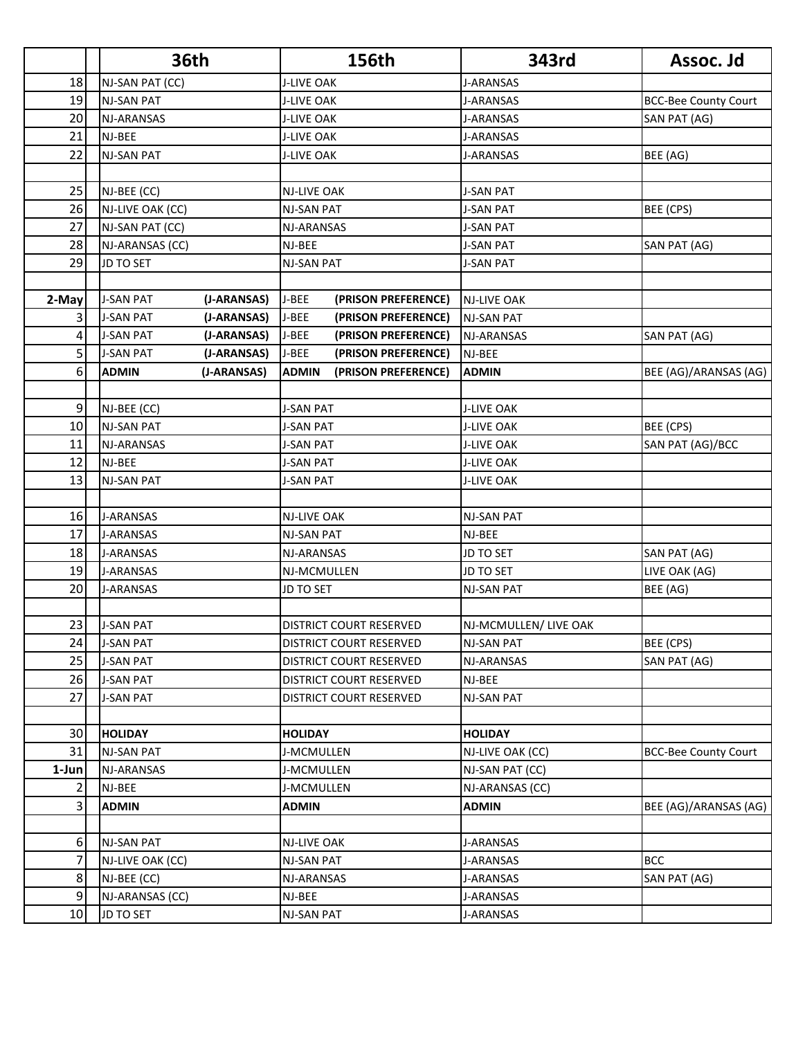|                 | <b>36th</b>       |             |                   | 156th                   | 343rd                 | Assoc. Jd                   |
|-----------------|-------------------|-------------|-------------------|-------------------------|-----------------------|-----------------------------|
| 18              | NJ-SAN PAT (CC)   |             | <b>J-LIVE OAK</b> |                         | <b>J-ARANSAS</b>      |                             |
| 19              | <b>NJ-SAN PAT</b> |             | <b>J-LIVE OAK</b> |                         | J-ARANSAS             | <b>BCC-Bee County Court</b> |
| 20              | NJ-ARANSAS        |             | J-LIVE OAK        |                         | J-ARANSAS             | SAN PAT (AG)                |
| 21              | NJ-BEE            |             | <b>J-LIVE OAK</b> |                         | <b>J-ARANSAS</b>      |                             |
| 22              | <b>NJ-SAN PAT</b> |             | <b>J-LIVE OAK</b> |                         | <b>J-ARANSAS</b>      | BEE (AG)                    |
|                 |                   |             |                   |                         |                       |                             |
| 25              | NJ-BEE (CC)       |             | NJ-LIVE OAK       |                         | <b>J-SAN PAT</b>      |                             |
| 26              | NJ-LIVE OAK (CC)  |             | NJ-SAN PAT        |                         | <b>J-SAN PAT</b>      | BEE (CPS)                   |
| 27              | NJ-SAN PAT (CC)   |             | NJ-ARANSAS        |                         | <b>J-SAN PAT</b>      |                             |
| 28              | NJ-ARANSAS (CC)   |             | NJ-BEE            |                         | J-SAN PAT             | SAN PAT (AG)                |
| 29              | <b>JD TO SET</b>  |             | <b>NJ-SAN PAT</b> |                         | <b>J-SAN PAT</b>      |                             |
|                 |                   |             |                   |                         |                       |                             |
| 2-May           | <b>J-SAN PAT</b>  | (J-ARANSAS) | J-BEE             | (PRISON PREFERENCE)     | <b>NJ-LIVE OAK</b>    |                             |
| 3               | <b>J-SAN PAT</b>  | (J-ARANSAS) | J-BEE             | (PRISON PREFERENCE)     | <b>NJ-SAN PAT</b>     |                             |
| 4               | <b>J-SAN PAT</b>  | (J-ARANSAS) | J-BEE             | (PRISON PREFERENCE)     | NJ-ARANSAS            | SAN PAT (AG)                |
| 5               | <b>J-SAN PAT</b>  | (J-ARANSAS) | J-BEE             | (PRISON PREFERENCE)     | NJ-BEE                |                             |
| 6               | <b>ADMIN</b>      | (J-ARANSAS) | <b>ADMIN</b>      | (PRISON PREFERENCE)     | <b>ADMIN</b>          | BEE (AG)/ARANSAS (AG)       |
|                 |                   |             |                   |                         |                       |                             |
| $\overline{9}$  | NJ-BEE (CC)       |             | <b>J-SAN PAT</b>  |                         | <b>J-LIVE OAK</b>     |                             |
| 10              | <b>NJ-SAN PAT</b> |             | J-SAN PAT         |                         | <b>J-LIVE OAK</b>     | BEE (CPS)                   |
| 11              | NJ-ARANSAS        |             | <b>J-SAN PAT</b>  |                         | <b>J-LIVE OAK</b>     | SAN PAT (AG)/BCC            |
| 12              | NJ-BEE            |             | <b>J-SAN PAT</b>  |                         | <b>J-LIVE OAK</b>     |                             |
| 13              | NJ-SAN PAT        |             | J-SAN PAT         |                         | <b>J-LIVE OAK</b>     |                             |
|                 |                   |             |                   |                         |                       |                             |
| 16              | <b>J-ARANSAS</b>  |             | NJ-LIVE OAK       |                         | <b>NJ-SAN PAT</b>     |                             |
| 17              | J-ARANSAS         |             | NJ-SAN PAT        |                         | NJ-BEE                |                             |
| 18              | J-ARANSAS         |             | NJ-ARANSAS        |                         | <b>JD TO SET</b>      | SAN PAT (AG)                |
| 19              | <b>J-ARANSAS</b>  |             | NJ-MCMULLEN       |                         | JD TO SET             | LIVE OAK (AG)               |
| 20              | <b>J-ARANSAS</b>  |             | JD TO SET         |                         | <b>NJ-SAN PAT</b>     | BEE (AG)                    |
|                 |                   |             |                   |                         |                       |                             |
| 23              | <b>J-SAN PAT</b>  |             |                   | DISTRICT COURT RESERVED | NJ-MCMULLEN/ LIVE OAK |                             |
| 24              | <b>J-SAN PAT</b>  |             |                   | DISTRICT COURT RESERVED | <b>NJ-SAN PAT</b>     | BEE (CPS)                   |
| 25              | <b>J-SAN PAT</b>  |             |                   | DISTRICT COURT RESERVED | NJ-ARANSAS            | SAN PAT (AG)                |
| 26              | <b>J-SAN PAT</b>  |             |                   | DISTRICT COURT RESERVED | NJ-BEE                |                             |
| 27              | <b>J-SAN PAT</b>  |             |                   | DISTRICT COURT RESERVED | <b>NJ-SAN PAT</b>     |                             |
|                 |                   |             |                   |                         |                       |                             |
| 30 <sup>1</sup> | <b>HOLIDAY</b>    |             | <b>HOLIDAY</b>    |                         | <b>HOLIDAY</b>        |                             |
| 31              | <b>NJ-SAN PAT</b> |             | J-MCMULLEN        |                         | NJ-LIVE OAK (CC)      | <b>BCC-Bee County Court</b> |
| 1-Jun           | NJ-ARANSAS        |             | J-MCMULLEN        |                         | NJ-SAN PAT (CC)       |                             |
| $\overline{2}$  | NJ-BEE            |             | J-MCMULLEN        |                         | NJ-ARANSAS (CC)       |                             |
| $\overline{3}$  | <b>ADMIN</b>      |             | <b>ADMIN</b>      |                         | <b>ADMIN</b>          | BEE (AG)/ARANSAS (AG)       |
|                 |                   |             |                   |                         |                       |                             |
| $6 \mid$        | <b>NJ-SAN PAT</b> |             | NJ-LIVE OAK       |                         | J-ARANSAS             |                             |
| $\overline{7}$  | NJ-LIVE OAK (CC)  |             | NJ-SAN PAT        |                         | J-ARANSAS             | <b>BCC</b>                  |
| 8 <sup>1</sup>  | NJ-BEE (CC)       |             | NJ-ARANSAS        |                         | J-ARANSAS             | SAN PAT (AG)                |
| $\overline{9}$  | NJ-ARANSAS (CC)   |             | NJ-BEE            |                         | J-ARANSAS             |                             |
| 10              | JD TO SET         |             | NJ-SAN PAT        |                         | J-ARANSAS             |                             |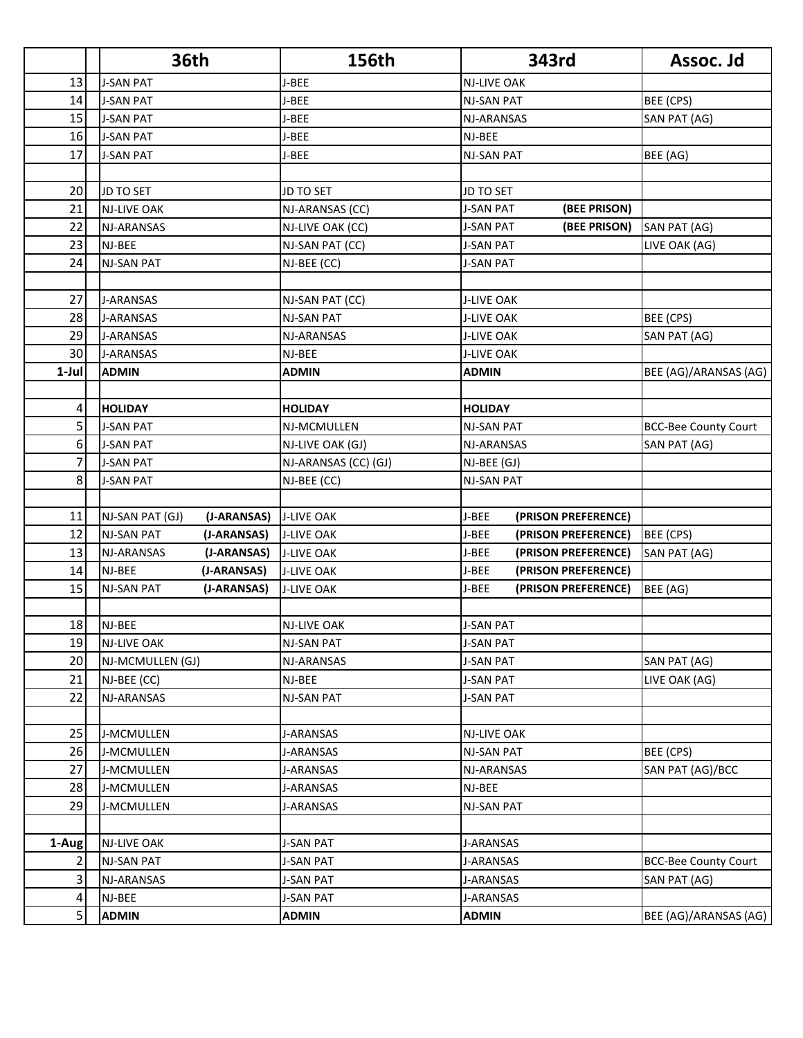|          | <b>36th</b>                            | 156th                           | 343rd                                | Assoc. Jd                   |
|----------|----------------------------------------|---------------------------------|--------------------------------------|-----------------------------|
| 13       | <b>J-SAN PAT</b>                       | J-BEE                           | <b>NJ-LIVE OAK</b>                   |                             |
| 14       | <b>J-SAN PAT</b>                       | J-BEE                           | <b>NJ-SAN PAT</b>                    | BEE (CPS)                   |
| 15       | <b>J-SAN PAT</b>                       | J-BEE                           | NJ-ARANSAS                           | SAN PAT (AG)                |
| 16       | <b>J-SAN PAT</b>                       | J-BEE                           | NJ-BEE                               |                             |
| 17       | <b>J-SAN PAT</b>                       | J-BEE                           | <b>NJ-SAN PAT</b>                    | BEE (AG)                    |
|          |                                        |                                 |                                      |                             |
| 20       | <b>JD TO SET</b>                       | <b>JD TO SET</b>                | <b>JD TO SET</b>                     |                             |
| 21       | <b>NJ-LIVE OAK</b>                     | NJ-ARANSAS (CC)                 | <b>J-SAN PAT</b><br>(BEE PRISON)     |                             |
| 22       | NJ-ARANSAS                             | NJ-LIVE OAK (CC)                | <b>J-SAN PAT</b><br>(BEE PRISON)     | SAN PAT (AG)                |
| 23       | NJ-BEE                                 | NJ-SAN PAT (CC)                 | J-SAN PAT                            | LIVE OAK (AG)               |
| 24       | <b>NJ-SAN PAT</b>                      | NJ-BEE (CC)                     | <b>J-SAN PAT</b>                     |                             |
|          |                                        |                                 |                                      |                             |
| 27       | <b>J-ARANSAS</b>                       | NJ-SAN PAT (CC)                 | <b>J-LIVE OAK</b>                    |                             |
| 28       | <b>J-ARANSAS</b>                       | <b>NJ-SAN PAT</b>               | <b>J-LIVE OAK</b>                    | BEE (CPS)                   |
| 29       | <b>J-ARANSAS</b>                       | NJ-ARANSAS                      | <b>J-LIVE OAK</b>                    | SAN PAT (AG)                |
| 30       | <b>J-ARANSAS</b>                       | NJ-BEE                          | <b>J-LIVE OAK</b>                    |                             |
| $1-Jul$  | ADMIN                                  | <b>ADMIN</b>                    | <b>ADMIN</b>                         | BEE (AG)/ARANSAS (AG)       |
|          |                                        |                                 |                                      |                             |
| 4        | <b>HOLIDAY</b>                         | <b>HOLIDAY</b>                  | <b>HOLIDAY</b>                       |                             |
| 5        | <b>J-SAN PAT</b>                       | NJ-MCMULLEN                     | <b>NJ-SAN PAT</b>                    | <b>BCC-Bee County Court</b> |
| 6        | <b>J-SAN PAT</b>                       | NJ-LIVE OAK (GJ)                | <b>NJ-ARANSAS</b>                    | SAN PAT (AG)                |
| 7        | <b>J-SAN PAT</b>                       | NJ-ARANSAS (CC) (GJ)            | NJ-BEE (GJ)                          |                             |
| 8        | <b>J-SAN PAT</b>                       | NJ-BEE (CC)                     | <b>NJ-SAN PAT</b>                    |                             |
|          |                                        |                                 |                                      |                             |
| 11       | NJ-SAN PAT (GJ)<br>(J-ARANSAS)         | <b>J-LIVE OAK</b>               | J-BEE<br>(PRISON PREFERENCE)         |                             |
| 12       | <b>NJ-SAN PAT</b><br>(J-ARANSAS)       | <b>J-LIVE OAK</b>               | J-BEE<br>(PRISON PREFERENCE)         | BEE (CPS)                   |
| 13       | NJ-ARANSAS<br>(J-ARANSAS)              | <b>J-LIVE OAK</b>               | J-BEE<br>(PRISON PREFERENCE)         | SAN PAT (AG)                |
| 14       | NJ-BEE<br>(J-ARANSAS)                  | <b>J-LIVE OAK</b>               | J-BEE<br>(PRISON PREFERENCE)         |                             |
| 15       | <b>NJ-SAN PAT</b><br>(J-ARANSAS)       | <b>J-LIVE OAK</b>               | J-BEE<br>(PRISON PREFERENCE)         | BEE (AG)                    |
|          |                                        |                                 |                                      |                             |
| 18       | NJ-BEE                                 | <b>NJ-LIVE OAK</b>              | <b>J-SAN PAT</b>                     |                             |
| 19<br>20 | <b>NJ-LIVE OAK</b><br>NJ-MCMULLEN (GJ) | <b>NJ-SAN PAT</b><br>NJ-ARANSAS | <b>J-SAN PAT</b><br><b>J-SAN PAT</b> | SAN PAT (AG)                |
| 21       | NJ-BEE (CC)                            | NJ-BEE                          | <b>J-SAN PAT</b>                     | LIVE OAK (AG)               |
| 22       | NJ-ARANSAS                             | NJ-SAN PAT                      | <b>J-SAN PAT</b>                     |                             |
|          |                                        |                                 |                                      |                             |
| 25       | J-MCMULLEN                             | J-ARANSAS                       | NJ-LIVE OAK                          |                             |
| 26       | J-MCMULLEN                             | <b>J-ARANSAS</b>                | <b>NJ-SAN PAT</b>                    | BEE (CPS)                   |
| 27       | J-MCMULLEN                             | J-ARANSAS                       | NJ-ARANSAS                           | SAN PAT (AG)/BCC            |
| 28       | J-MCMULLEN                             | J-ARANSAS                       | NJ-BEE                               |                             |
| 29       | J-MCMULLEN                             | <b>J-ARANSAS</b>                | <b>NJ-SAN PAT</b>                    |                             |
|          |                                        |                                 |                                      |                             |
| 1-Aug    | NJ-LIVE OAK                            | J-SAN PAT                       | J-ARANSAS                            |                             |
| 2        | <b>NJ-SAN PAT</b>                      | <b>J-SAN PAT</b>                | <b>J-ARANSAS</b>                     | <b>BCC-Bee County Court</b> |
| 3        | NJ-ARANSAS                             | <b>J-SAN PAT</b>                | J-ARANSAS                            | SAN PAT (AG)                |
| 4        | NJ-BEE                                 | <b>J-SAN PAT</b>                | J-ARANSAS                            |                             |
| 5        | <b>ADMIN</b>                           | <b>ADMIN</b>                    | <b>ADMIN</b>                         | BEE (AG)/ARANSAS (AG)       |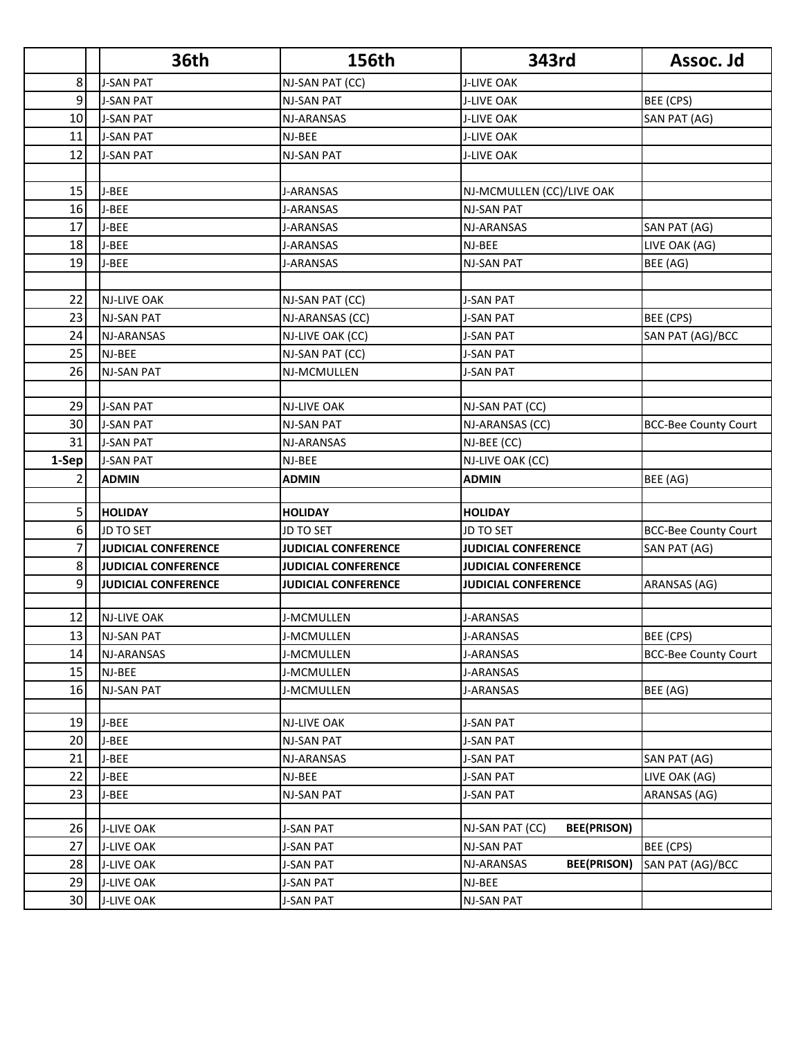|                | <b>36th</b>                | <b>156th</b>               | 343rd                                 | Assoc. Jd                   |
|----------------|----------------------------|----------------------------|---------------------------------------|-----------------------------|
| 8              | <b>J-SAN PAT</b>           | NJ-SAN PAT (CC)            | <b>J-LIVE OAK</b>                     |                             |
| 9              | <b>J-SAN PAT</b>           | <b>NJ-SAN PAT</b>          | <b>J-LIVE OAK</b>                     | BEE (CPS)                   |
| 10             | <b>J-SAN PAT</b>           | NJ-ARANSAS                 | <b>J-LIVE OAK</b>                     | SAN PAT (AG)                |
| 11             | <b>J-SAN PAT</b>           | NJ-BEE                     | <b>J-LIVE OAK</b>                     |                             |
| 12             | <b>J-SAN PAT</b>           | <b>NJ-SAN PAT</b>          | <b>J-LIVE OAK</b>                     |                             |
|                |                            |                            |                                       |                             |
| 15             | J-BEE                      | J-ARANSAS                  | NJ-MCMULLEN (CC)/LIVE OAK             |                             |
| 16             | J-BEE                      | <b>J-ARANSAS</b>           | <b>NJ-SAN PAT</b>                     |                             |
| 17             | J-BEE                      | <b>J-ARANSAS</b>           | NJ-ARANSAS                            | SAN PAT (AG)                |
| 18             | J-BEE                      | J-ARANSAS                  | NJ-BEE                                | LIVE OAK (AG)               |
| 19             | J-BEE                      | <b>J-ARANSAS</b>           | <b>NJ-SAN PAT</b>                     | BEE (AG)                    |
|                |                            |                            |                                       |                             |
| 22             | <b>NJ-LIVE OAK</b>         | NJ-SAN PAT (CC)            | <b>J-SAN PAT</b>                      |                             |
| 23             | <b>NJ-SAN PAT</b>          | NJ-ARANSAS (CC)            | <b>J-SAN PAT</b>                      | BEE (CPS)                   |
| 24             | NJ-ARANSAS                 | NJ-LIVE OAK (CC)           | <b>J-SAN PAT</b>                      | SAN PAT (AG)/BCC            |
| 25             | NJ-BEE                     | NJ-SAN PAT (CC)            | <b>J-SAN PAT</b>                      |                             |
| 26             | <b>NJ-SAN PAT</b>          | NJ-MCMULLEN                | <b>J-SAN PAT</b>                      |                             |
|                |                            |                            |                                       |                             |
| 29             | <b>J-SAN PAT</b>           | <b>NJ-LIVE OAK</b>         | NJ-SAN PAT (CC)                       |                             |
| 30             | <b>J-SAN PAT</b>           | <b>NJ-SAN PAT</b>          | NJ-ARANSAS (CC)                       | <b>BCC-Bee County Court</b> |
| 31             | <b>J-SAN PAT</b>           | NJ-ARANSAS                 | NJ-BEE (CC)                           |                             |
| 1-Sep          | <b>J-SAN PAT</b>           | NJ-BEE                     | NJ-LIVE OAK (CC)                      |                             |
| 2              | <b>ADMIN</b>               | <b>ADMIN</b>               | <b>ADMIN</b>                          | BEE (AG)                    |
|                |                            |                            |                                       |                             |
| 5              | <b>HOLIDAY</b>             | <b>HOLIDAY</b>             | <b>HOLIDAY</b>                        |                             |
| 6              | <b>JD TO SET</b>           | <b>JD TO SET</b>           | <b>JD TO SET</b>                      | <b>BCC-Bee County Court</b> |
| $\overline{7}$ | <b>JUDICIAL CONFERENCE</b> | <b>JUDICIAL CONFERENCE</b> | <b>JUDICIAL CONFERENCE</b>            | SAN PAT (AG)                |
| 8              | <b>JUDICIAL CONFERENCE</b> | <b>JUDICIAL CONFERENCE</b> | <b>JUDICIAL CONFERENCE</b>            |                             |
| 9              | <b>JUDICIAL CONFERENCE</b> | <b>JUDICIAL CONFERENCE</b> | <b>JUDICIAL CONFERENCE</b>            | ARANSAS (AG)                |
|                |                            |                            |                                       |                             |
| 12             | <b>NJ-LIVE OAK</b>         | J-MCMULLEN                 | <b>J-ARANSAS</b>                      |                             |
| 13             | NJ-SAN PAT                 | J-MCMULLEN                 | J-ARANSAS                             | BEE (CPS)                   |
| 14             | NJ-ARANSAS                 | J-MCMULLEN                 | J-ARANSAS                             | <b>BCC-Bee County Court</b> |
| 15             | NJ-BEE                     | J-MCMULLEN                 | J-ARANSAS                             |                             |
| 16             | <b>NJ-SAN PAT</b>          | J-MCMULLEN                 | J-ARANSAS                             | BEE (AG)                    |
|                |                            |                            |                                       |                             |
| 19             | J-BEE                      | <b>NJ-LIVE OAK</b>         | <b>J-SAN PAT</b>                      |                             |
| 20             | J-BEE                      | NJ-SAN PAT                 | J-SAN PAT                             |                             |
| 21             | J-BEE<br>J-BEE             | NJ-ARANSAS                 | <b>J-SAN PAT</b>                      | SAN PAT (AG)                |
| 22             |                            | NJ-BEE                     | <b>J-SAN PAT</b>                      | LIVE OAK (AG)               |
| 23             | J-BEE                      | <b>NJ-SAN PAT</b>          | <b>J-SAN PAT</b>                      | ARANSAS (AG)                |
| 26             | <b>J-LIVE OAK</b>          | <b>J-SAN PAT</b>           | <b>BEE(PRISON)</b><br>NJ-SAN PAT (CC) |                             |
| 27             | <b>J-LIVE OAK</b>          | <b>J-SAN PAT</b>           | <b>NJ-SAN PAT</b>                     | BEE (CPS)                   |
| 28             | <b>J-LIVE OAK</b>          | <b>J-SAN PAT</b>           | <b>BEE(PRISON)</b><br>NJ-ARANSAS      | SAN PAT (AG)/BCC            |
| 29             | <b>J-LIVE OAK</b>          | <b>J-SAN PAT</b>           | NJ-BEE                                |                             |
| 30             | <b>J-LIVE OAK</b>          | <b>J-SAN PAT</b>           | <b>NJ-SAN PAT</b>                     |                             |
|                |                            |                            |                                       |                             |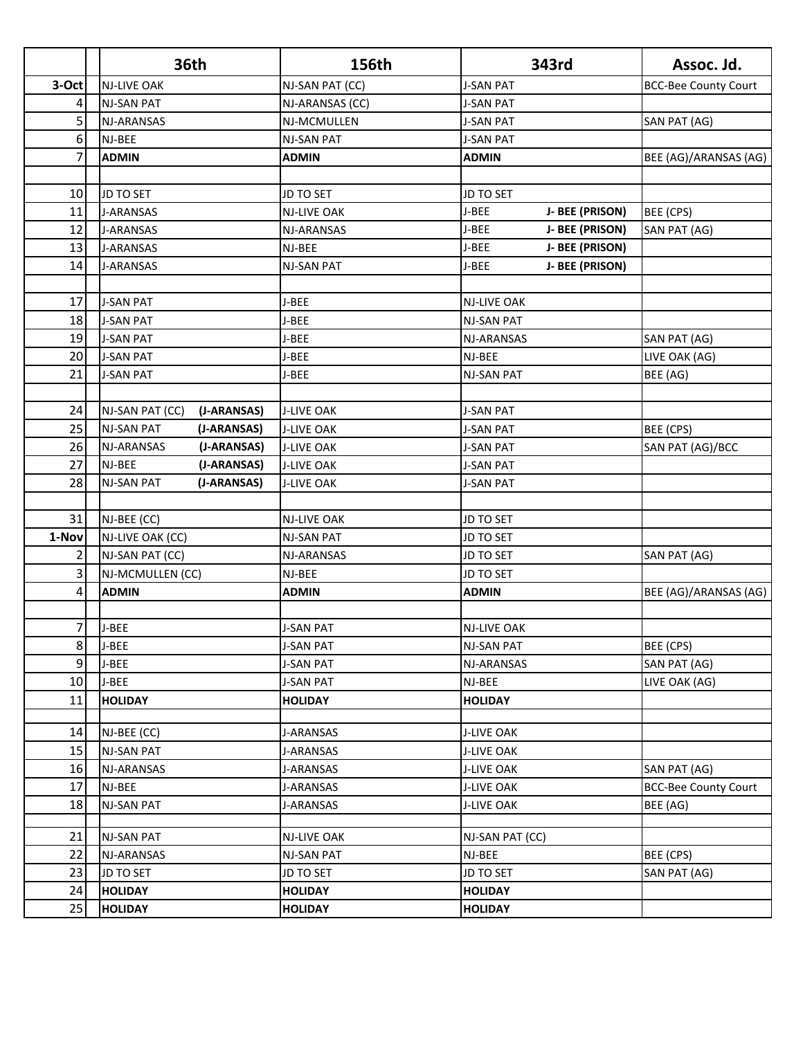|                | <b>36th</b>                      | 156th              | 343rd                    | Assoc. Jd.                  |
|----------------|----------------------------------|--------------------|--------------------------|-----------------------------|
| 3-Oct          | <b>NJ-LIVE OAK</b>               | NJ-SAN PAT (CC)    | <b>J-SAN PAT</b>         | <b>BCC-Bee County Court</b> |
| 4              | <b>NJ-SAN PAT</b>                | NJ-ARANSAS (CC)    | <b>J-SAN PAT</b>         |                             |
| 5              | NJ-ARANSAS                       | NJ-MCMULLEN        | <b>J-SAN PAT</b>         | SAN PAT (AG)                |
| 6              | NJ-BEE                           | <b>NJ-SAN PAT</b>  | <b>J-SAN PAT</b>         |                             |
| 7              | <b>ADMIN</b>                     | <b>ADMIN</b>       | <b>ADMIN</b>             | BEE (AG)/ARANSAS (AG)       |
|                |                                  |                    |                          |                             |
| 10             | JD TO SET                        | <b>JD TO SET</b>   | <b>JD TO SET</b>         |                             |
| 11             | <b>J-ARANSAS</b>                 | <b>NJ-LIVE OAK</b> | J-BEE<br>J- BEE (PRISON) | BEE (CPS)                   |
| 12             | <b>J-ARANSAS</b>                 | NJ-ARANSAS         | J-BEE<br>J- BEE (PRISON) | SAN PAT (AG)                |
| 13             | <b>J-ARANSAS</b>                 | NJ-BEE             | J-BEE<br>J- BEE (PRISON) |                             |
| 14             | <b>J-ARANSAS</b>                 | <b>NJ-SAN PAT</b>  | J-BEE<br>J- BEE (PRISON) |                             |
|                |                                  |                    |                          |                             |
| 17             | <b>J-SAN PAT</b>                 | J-BEE              | NJ-LIVE OAK              |                             |
| 18             | <b>J-SAN PAT</b>                 | J-BEE              | <b>NJ-SAN PAT</b>        |                             |
| 19             | <b>J-SAN PAT</b>                 | J-BEE              | NJ-ARANSAS               | SAN PAT (AG)                |
| 20             | <b>J-SAN PAT</b>                 | J-BEE              | NJ-BEE                   | LIVE OAK (AG)               |
| 21             | <b>J-SAN PAT</b>                 | J-BEE              | <b>NJ-SAN PAT</b>        | BEE (AG)                    |
|                |                                  |                    |                          |                             |
| 24             | NJ-SAN PAT (CC)<br>(J-ARANSAS)   | <b>J-LIVE OAK</b>  | <b>J-SAN PAT</b>         |                             |
| 25             | <b>NJ-SAN PAT</b><br>(J-ARANSAS) | <b>J-LIVE OAK</b>  | <b>J-SAN PAT</b>         | BEE (CPS)                   |
| 26             | NJ-ARANSAS<br>(J-ARANSAS)        | <b>J-LIVE OAK</b>  | <b>J-SAN PAT</b>         | SAN PAT (AG)/BCC            |
| 27             | NJ-BEE<br>(J-ARANSAS)            | <b>J-LIVE OAK</b>  | <b>J-SAN PAT</b>         |                             |
| 28             | <b>NJ-SAN PAT</b><br>(J-ARANSAS) | <b>J-LIVE OAK</b>  | <b>J-SAN PAT</b>         |                             |
|                |                                  |                    |                          |                             |
| 31             | NJ-BEE (CC)                      | <b>NJ-LIVE OAK</b> | JD TO SET                |                             |
| 1-Nov          | NJ-LIVE OAK (CC)                 | NJ-SAN PAT         | <b>JD TO SET</b>         |                             |
| $\overline{2}$ | NJ-SAN PAT (CC)                  | NJ-ARANSAS         | <b>JD TO SET</b>         | SAN PAT (AG)                |
| 3              | NJ-MCMULLEN (CC)                 | NJ-BEE             | JD TO SET                |                             |
| 4              | <b>ADMIN</b>                     | <b>ADMIN</b>       | <b>ADMIN</b>             | BEE (AG)/ARANSAS (AG)       |
|                |                                  |                    |                          |                             |
| $\overline{7}$ | J-BEE                            | <b>J-SAN PAT</b>   | <b>NJ-LIVE OAK</b>       |                             |
| 8              | J-BEE                            | <b>J-SAN PAT</b>   | <b>NJ-SAN PAT</b>        | BEE (CPS)                   |
| 9              | J-BEE                            | <b>J-SAN PAT</b>   | NJ-ARANSAS               | SAN PAT (AG)                |
| 10             | J-BEE                            | <b>J-SAN PAT</b>   | NJ-BEE                   | LIVE OAK (AG)               |
| 11             | <b>HOLIDAY</b>                   | <b>HOLIDAY</b>     | <b>HOLIDAY</b>           |                             |
| 14             | NJ-BEE (CC)                      | J-ARANSAS          | <b>J-LIVE OAK</b>        |                             |
| 15             | <b>NJ-SAN PAT</b>                | J-ARANSAS          | <b>J-LIVE OAK</b>        |                             |
| 16             | NJ-ARANSAS                       | J-ARANSAS          | <b>J-LIVE OAK</b>        | SAN PAT (AG)                |
| 17             | NJ-BEE                           | J-ARANSAS          | <b>J-LIVE OAK</b>        | <b>BCC-Bee County Court</b> |
| 18             | <b>NJ-SAN PAT</b>                | J-ARANSAS          | J-LIVE OAK               | BEE (AG)                    |
|                |                                  |                    |                          |                             |
| 21             | <b>NJ-SAN PAT</b>                | <b>NJ-LIVE OAK</b> | NJ-SAN PAT (CC)          |                             |
| 22             | NJ-ARANSAS                       | NJ-SAN PAT         | NJ-BEE                   | BEE (CPS)                   |
| 23             | JD TO SET                        | <b>JD TO SET</b>   | JD TO SET                | SAN PAT (AG)                |
| 24             | <b>HOLIDAY</b>                   | <b>HOLIDAY</b>     | <b>HOLIDAY</b>           |                             |
| 25             | <b>HOLIDAY</b>                   | <b>HOLIDAY</b>     | <b>HOLIDAY</b>           |                             |